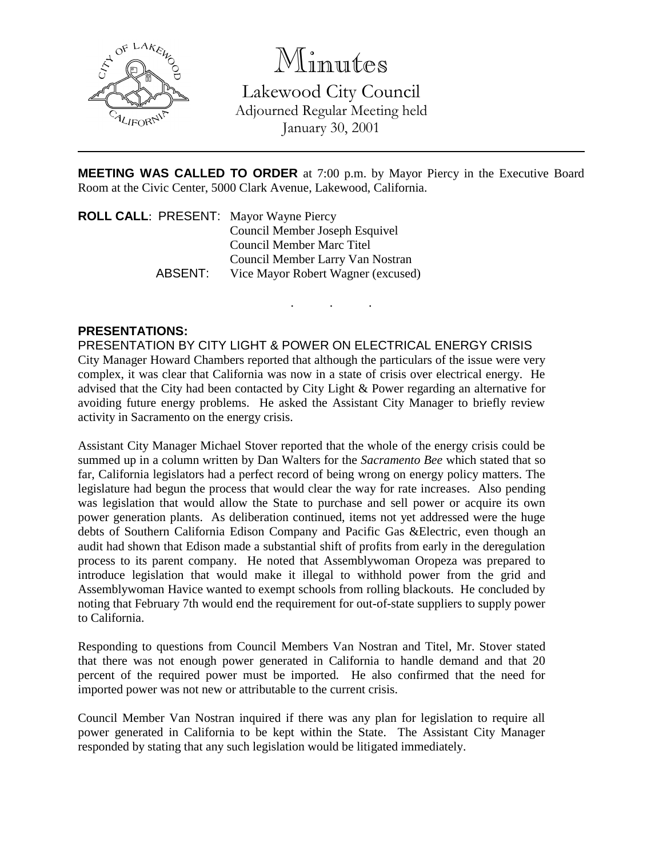

Minutes

Lakewood City Council Adjourned Regular Meeting held January 30, 2001

**MEETING WAS CALLED TO ORDER** at 7:00 p.m. by Mayor Piercy in the Executive Board Room at the Civic Center, 5000 Clark Avenue, Lakewood, California.

. . .

**ROLL CALL**: PRESENT: Mayor Wayne Piercy Council Member Joseph Esquivel Council Member Marc Titel Council Member Larry Van Nostran ABSENT: Vice Mayor Robert Wagner (excused)

## **PRESENTATIONS:**

PRESENTATION BY CITY LIGHT & POWER ON ELECTRICAL ENERGY CRISIS City Manager Howard Chambers reported that although the particulars of the issue were very complex, it was clear that California was now in a state of crisis over electrical energy. He advised that the City had been contacted by City Light & Power regarding an alternative for avoiding future energy problems. He asked the Assistant City Manager to briefly review activity in Sacramento on the energy crisis.

Assistant City Manager Michael Stover reported that the whole of the energy crisis could be summed up in a column written by Dan Walters for the *Sacramento Bee* which stated that so far, California legislators had a perfect record of being wrong on energy policy matters. The legislature had begun the process that would clear the way for rate increases. Also pending was legislation that would allow the State to purchase and sell power or acquire its own power generation plants. As deliberation continued, items not yet addressed were the huge debts of Southern California Edison Company and Pacific Gas &Electric, even though an audit had shown that Edison made a substantial shift of profits from early in the deregulation process to its parent company. He noted that Assemblywoman Oropeza was prepared to introduce legislation that would make it illegal to withhold power from the grid and Assemblywoman Havice wanted to exempt schools from rolling blackouts. He concluded by noting that February 7th would end the requirement for out-of-state suppliers to supply power to California.

Responding to questions from Council Members Van Nostran and Titel, Mr. Stover stated that there was not enough power generated in California to handle demand and that 20 percent of the required power must be imported. He also confirmed that the need for imported power was not new or attributable to the current crisis.

Council Member Van Nostran inquired if there was any plan for legislation to require all power generated in California to be kept within the State. The Assistant City Manager responded by stating that any such legislation would be litigated immediately.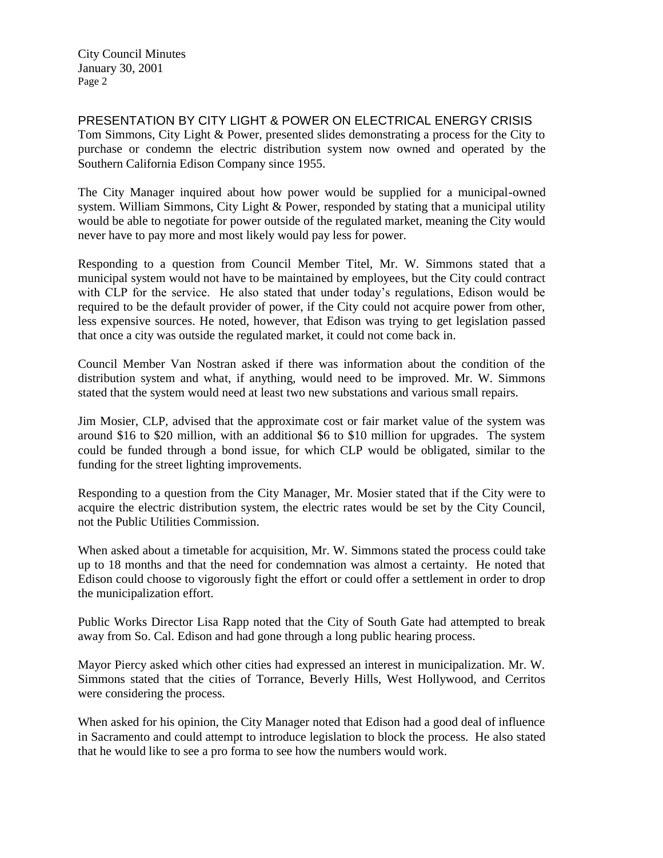City Council Minutes January 30, 2001 Page 2

PRESENTATION BY CITY LIGHT & POWER ON ELECTRICAL ENERGY CRISIS Tom Simmons, City Light & Power, presented slides demonstrating a process for the City to purchase or condemn the electric distribution system now owned and operated by the Southern California Edison Company since 1955.

The City Manager inquired about how power would be supplied for a municipal-owned system. William Simmons, City Light & Power, responded by stating that a municipal utility would be able to negotiate for power outside of the regulated market, meaning the City would never have to pay more and most likely would pay less for power.

Responding to a question from Council Member Titel, Mr. W. Simmons stated that a municipal system would not have to be maintained by employees, but the City could contract with CLP for the service. He also stated that under today's regulations, Edison would be required to be the default provider of power, if the City could not acquire power from other, less expensive sources. He noted, however, that Edison was trying to get legislation passed that once a city was outside the regulated market, it could not come back in.

Council Member Van Nostran asked if there was information about the condition of the distribution system and what, if anything, would need to be improved. Mr. W. Simmons stated that the system would need at least two new substations and various small repairs.

Jim Mosier, CLP, advised that the approximate cost or fair market value of the system was around \$16 to \$20 million, with an additional \$6 to \$10 million for upgrades. The system could be funded through a bond issue, for which CLP would be obligated, similar to the funding for the street lighting improvements.

Responding to a question from the City Manager, Mr. Mosier stated that if the City were to acquire the electric distribution system, the electric rates would be set by the City Council, not the Public Utilities Commission.

When asked about a timetable for acquisition, Mr. W. Simmons stated the process could take up to 18 months and that the need for condemnation was almost a certainty. He noted that Edison could choose to vigorously fight the effort or could offer a settlement in order to drop the municipalization effort.

Public Works Director Lisa Rapp noted that the City of South Gate had attempted to break away from So. Cal. Edison and had gone through a long public hearing process.

Mayor Piercy asked which other cities had expressed an interest in municipalization. Mr. W. Simmons stated that the cities of Torrance, Beverly Hills, West Hollywood, and Cerritos were considering the process.

When asked for his opinion, the City Manager noted that Edison had a good deal of influence in Sacramento and could attempt to introduce legislation to block the process. He also stated that he would like to see a pro forma to see how the numbers would work.